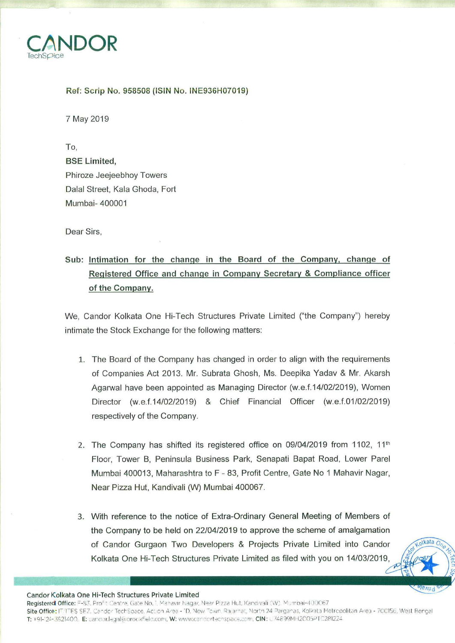

## Ref: Scrip No. 958508 (ISIN No. INE936H07019)

7 May 2019

To, **BSE Limited.** Phiroze Jeejeebhoy Towers Dalal Street, Kala Ghoda, Fort Mumbai- 400001

Dear Sirs.

## Sub: Intimation for the change in the Board of the Company, change of Registered Office and change in Company Secretary & Compliance officer of the Company.

We, Candor Kolkata One Hi-Tech Structures Private Limited ("the Company") hereby intimate the Stock Exchange for the following matters:

- 1. The Board of the Company has changed in order to align with the requirements of Companies Act 2013. Mr. Subrata Ghosh, Ms. Deepika Yadav & Mr. Akarsh Agarwal have been appointed as Managing Director (w.e.f.14/02/2019), Women Director (w.e.f.14/02/2019) & Chief Financial Officer (w.e.f.01/02/2019) respectively of the Company.
- 2. The Company has shifted its registered office on 09/04/2019 from 1102, 11<sup>th</sup> Floor, Tower B, Peninsula Business Park, Senapati Bapat Road, Lower Parel Mumbai 400013, Maharashtra to F - 83, Profit Centre, Gate No 1 Mahavir Nagar, Near Pizza Hut, Kandivali (W) Mumbai 400067.
- 3. With reference to the notice of Extra-Ordinary General Meeting of Members of the Company to be held on 22/04/2019 to approve the scheme of amalgamation of Candor Gurgaon Two Developers & Projects Private Limited into Candor Kolkata One Hi-Tech Structures Private Limited as filed with you on 14/03/2019,

olkata O

SIBVITS



Registered Office: F-83, Profit Centre, Gate No. 1, Mahavir Nagar, Near Pizza Hut, Kandivali (W). Mumbai-400067 Site Office: IT/ITES SEZ. Candor TechSpace. Action Area - 1D. New Town. Rajarhat, North 24 Parganas, Kolkata Metropolitan Area - 700156, West Bengal T: +91-124-3621400. E: candor.legal@prockfield.com, W: www.candortechspace.com, CIN: U74899MH2C05PTC281224